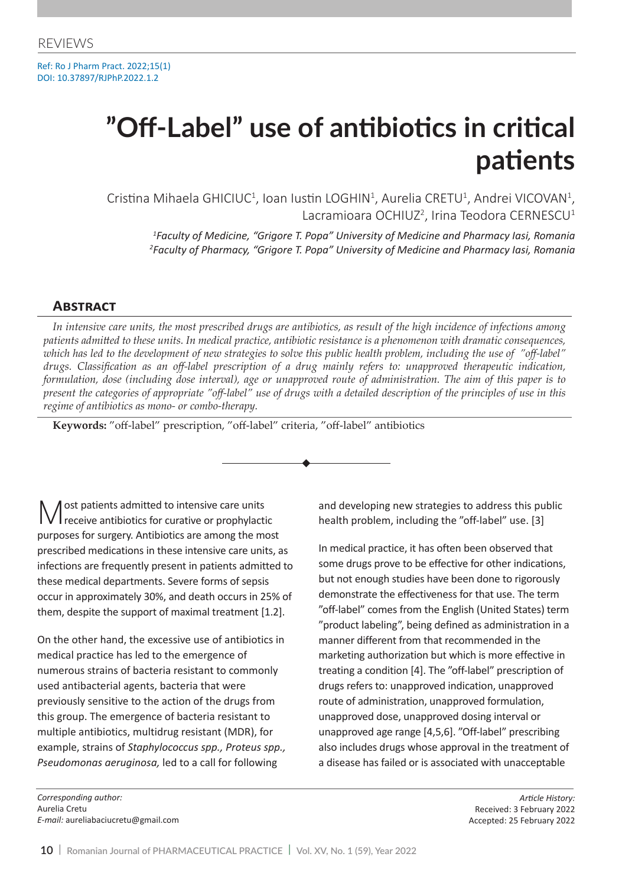Ref: Ro J Pharm Pract. 2022;15(1) DOI: 10.37897/RJPhP.2022.1.2

# **"Off-Label" use of antibiotics in critical patients**

Cristina Mihaela GHICIUC<sup>1</sup>, Ioan Iustin LOGHIN<sup>1</sup>, Aurelia CRETU<sup>1</sup>, Andrei VICOVAN<sup>1</sup>, Lacramioara OCHIUZ<sup>2</sup>, Irina Teodora CERNESCU<sup>1</sup>

*1 Faculty of Medicine, "Grigore T. Popa" University of Medicine and Pharmacy Iasi, Romania 2 Faculty of Pharmacy, "Grigore T. Popa" University of Medicine and Pharmacy Iasi, Romania*

#### **Abstract**

*In intensive care units, the most prescribed drugs are antibiotics, as result of the high incidence of infections among patients admitted to these units. In medical practice, antibiotic resistance is a phenomenon with dramatic consequences, which has led to the development of new strategies to solve this public health problem, including the use of "off-label" drugs. Classification as an off-label prescription of a drug mainly refers to: unapproved therapeutic indication, formulation, dose (including dose interval), age or unapproved route of administration. The aim of this paper is to present the categories of appropriate "off-label" use of drugs with a detailed description of the principles of use in this regime of antibiotics as mono- or combo-therapy.*

**Keywords:** "off-label" prescription, "off-label" criteria, "off-label" antibiotics

Most patients admitted to intensive care units receive antibiotics for curative or prophylactic purposes for surgery. Antibiotics are among the most prescribed medications in these intensive care units, as infections are frequently present in patients admitted to these medical departments. Severe forms of sepsis occur in approximately 30%, and death occurs in 25% of them, despite the support of maximal treatment [1.2].

On the other hand, the excessive use of antibiotics in medical practice has led to the emergence of numerous strains of bacteria resistant to commonly used antibacterial agents, bacteria that were previously sensitive to the action of the drugs from this group. The emergence of bacteria resistant to multiple antibiotics, multidrug resistant (MDR), for example, strains of *Staphylococcus spp., Proteus spp., Pseudomonas aeruginosa,* led to a call for following

and developing new strategies to address this public health problem, including the "off-label" use. [3]

In medical practice, it has often been observed that some drugs prove to be effective for other indications, but not enough studies have been done to rigorously demonstrate the effectiveness for that use. The term "off-label" comes from the English (United States) term "product labeling", being defined as administration in a manner different from that recommended in the marketing authorization but which is more effective in treating a condition [4]. The "off-label" prescription of drugs refers to: unapproved indication, unapproved route of administration, unapproved formulation, unapproved dose, unapproved dosing interval or unapproved age range [4,5,6]. "Off-label" prescribing also includes drugs whose approval in the treatment of a disease has failed or is associated with unacceptable

*Article History:* Received: 3 February 2022 Accepted: 25 February 2022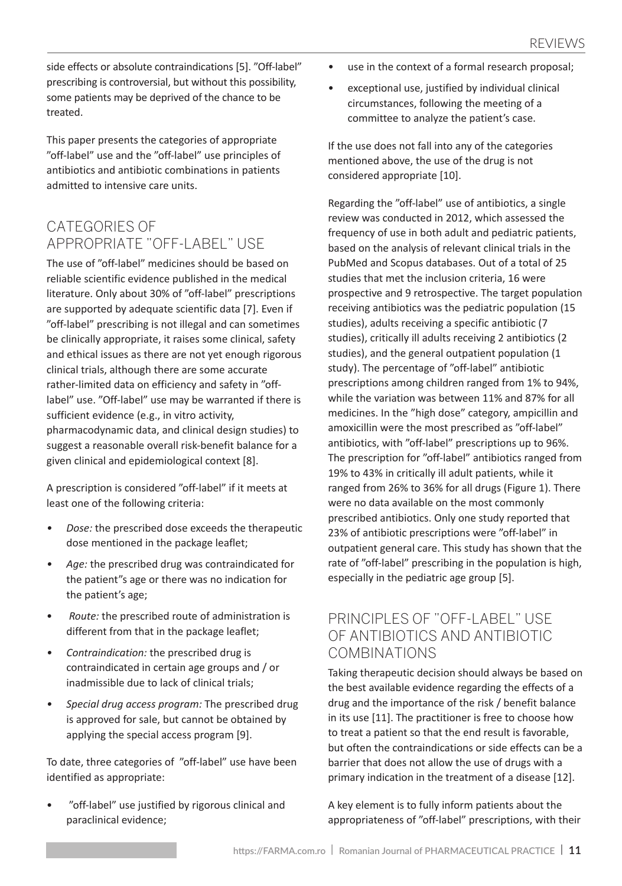side effects or absolute contraindications [5]. "Off-label" prescribing is controversial, but without this possibility, some patients may be deprived of the chance to be treated.

This paper presents the categories of appropriate "off-label" use and the "off-label" use principles of antibiotics and antibiotic combinations in patients admitted to intensive care units.

## CATEGORIES OF appropriate "off-label" use

The use of "off-label" medicines should be based on reliable scientific evidence published in the medical literature. Only about 30% of "off-label" prescriptions are supported by adequate scientific data [7]. Even if "off-label" prescribing is not illegal and can sometimes be clinically appropriate, it raises some clinical, safety and ethical issues as there are not yet enough rigorous clinical trials, although there are some accurate rather-limited data on efficiency and safety in "offlabel" use. "Off-label" use may be warranted if there is sufficient evidence (e.g., in vitro activity, pharmacodynamic data, and clinical design studies) to suggest a reasonable overall risk-benefit balance for a given clinical and epidemiological context [8].

A prescription is considered "off-label" if it meets at least one of the following criteria:

- *• Dose:* the prescribed dose exceeds the therapeutic dose mentioned in the package leaflet;
- *• Age:* the prescribed drug was contraindicated for the patient"s age or there was no indication for the patient's age;
- Route: the prescribed route of administration is different from that in the package leaflet;
- *• Contraindication:* the prescribed drug is contraindicated in certain age groups and / or inadmissible due to lack of clinical trials;
- *• Special drug access program:* The prescribed drug is approved for sale, but cannot be obtained by applying the special access program [9].

To date, three categories of "off-label" use have been identified as appropriate:

"off-label" use justified by rigorous clinical and paraclinical evidence;

- use in the context of a formal research proposal;
- exceptional use, justified by individual clinical circumstances, following the meeting of a committee to analyze the patient's case.

If the use does not fall into any of the categories mentioned above, the use of the drug is not considered appropriate [10].

Regarding the "off-label" use of antibiotics, a single review was conducted in 2012, which assessed the frequency of use in both adult and pediatric patients, based on the analysis of relevant clinical trials in the PubMed and Scopus databases. Out of a total of 25 studies that met the inclusion criteria, 16 were prospective and 9 retrospective. The target population receiving antibiotics was the pediatric population (15 studies), adults receiving a specific antibiotic (7 studies), critically ill adults receiving 2 antibiotics (2 studies), and the general outpatient population (1 study). The percentage of "off-label" antibiotic prescriptions among children ranged from 1% to 94%, while the variation was between 11% and 87% for all medicines. In the "high dose" category, ampicillin and amoxicillin were the most prescribed as "off-label" antibiotics, with "off-label" prescriptions up to 96%. The prescription for "off-label" antibiotics ranged from 19% to 43% in critically ill adult patients, while it ranged from 26% to 36% for all drugs (Figure 1). There were no data available on the most commonly prescribed antibiotics. Only one study reported that 23% of antibiotic prescriptions were "off-label" in outpatient general care. This study has shown that the rate of "off-label" prescribing in the population is high, especially in the pediatric age group [5].

#### Principles of "off-label" use of antibiotics and antibiotic **COMBINATIONS**

Taking therapeutic decision should always be based on the best available evidence regarding the effects of a drug and the importance of the risk / benefit balance in its use [11]. The practitioner is free to choose how to treat a patient so that the end result is favorable, but often the contraindications or side effects can be a barrier that does not allow the use of drugs with a primary indication in the treatment of a disease [12].

A key element is to fully inform patients about the appropriateness of "off-label" prescriptions, with their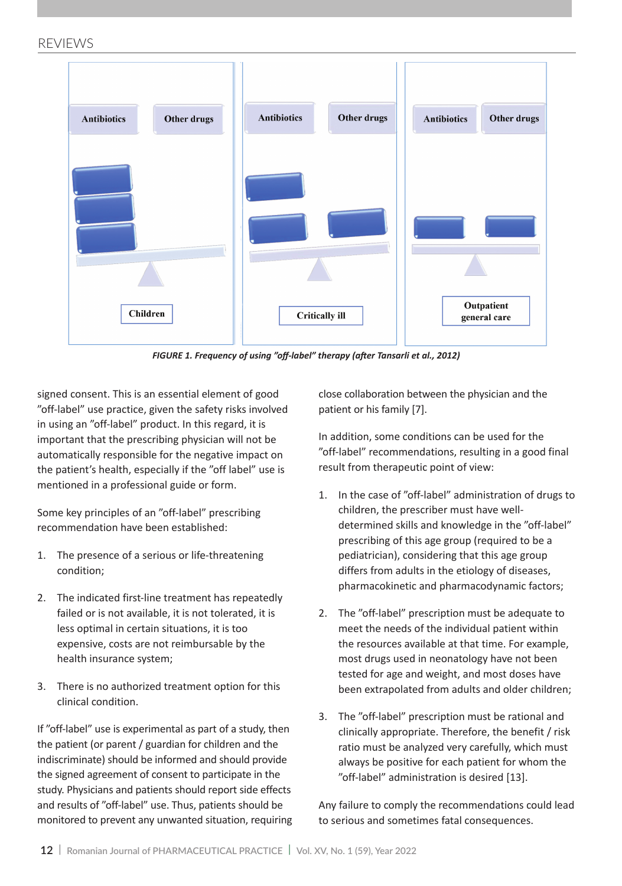REVIEWS



*FIGURE 1. Frequency of using "off-label" therapy (after Tansarli et al., 2012)*

signed consent. This is an essential element of good "off-label" use practice, given the safety risks involved in using an "off-label" product. In this regard, it is important that the prescribing physician will not be automatically responsible for the negative impact on the patient's health, especially if the "off label" use is mentioned in a professional guide or form.

Some key principles of an "off-label" prescribing recommendation have been established:

- 1. The presence of a serious or life-threatening condition;
- 2. The indicated first-line treatment has repeatedly failed or is not available, it is not tolerated, it is less optimal in certain situations, it is too expensive, costs are not reimbursable by the health insurance system;
- 3. There is no authorized treatment option for this clinical condition.

If "off-label" use is experimental as part of a study, then the patient (or parent / guardian for children and the indiscriminate) should be informed and should provide the signed agreement of consent to participate in the study. Physicians and patients should report side effects and results of "off-label" use. Thus, patients should be monitored to prevent any unwanted situation, requiring close collaboration between the physician and the patient or his family [7].

In addition, some conditions can be used for the "off-label" recommendations, resulting in a good final result from therapeutic point of view:

- 1. In the case of "off-label" administration of drugs to children, the prescriber must have welldetermined skills and knowledge in the "off-label" prescribing of this age group (required to be a pediatrician), considering that this age group differs from adults in the etiology of diseases, pharmacokinetic and pharmacodynamic factors;
- 2. The "off-label" prescription must be adequate to meet the needs of the individual patient within the resources available at that time. For example, most drugs used in neonatology have not been tested for age and weight, and most doses have been extrapolated from adults and older children;
- 3. The "off-label" prescription must be rational and clinically appropriate. Therefore, the benefit / risk ratio must be analyzed very carefully, which must always be positive for each patient for whom the "off-label" administration is desired [13].

Any failure to comply the recommendations could lead to serious and sometimes fatal consequences.